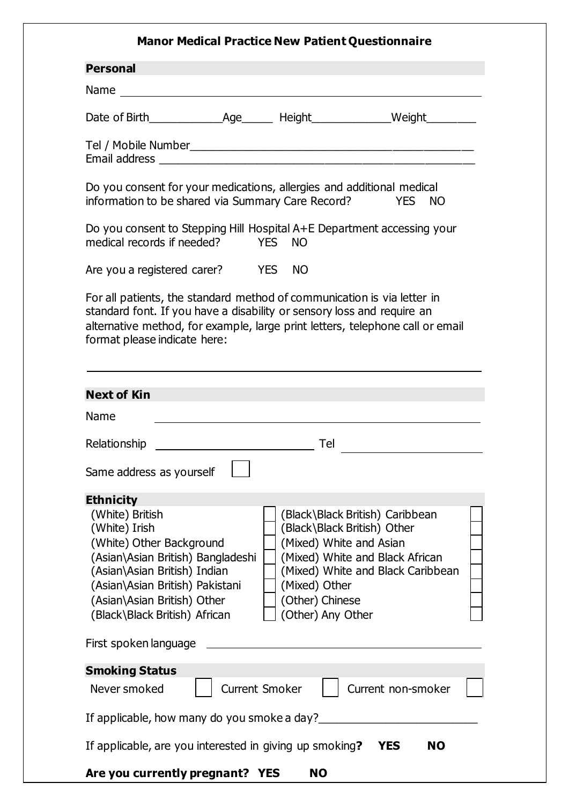## **Manor Medical Practice New Patient Questionnaire Personal**  Name and the state of the state of the state of the state of the state of the state of the state of the state of the state of the state of the state of the state of the state of the state of the state of the state of the s Date of Birth\_\_\_\_\_\_\_\_\_\_\_\_Age\_\_\_\_\_ Height\_\_\_\_\_\_\_\_\_\_\_\_\_Weight\_\_\_\_\_\_\_\_ Tel / Mobile Number Email address \_\_\_\_\_\_\_\_\_\_\_\_\_\_\_\_\_\_\_\_\_\_\_\_\_\_\_\_\_\_\_\_\_\_\_\_\_\_\_\_\_\_\_\_\_\_\_\_\_\_\_ Do you consent for your medications, allergies and additional medical information to be shared via Summary Care Record? YES NO Do you consent to Stepping Hill Hospital A+E Department accessing your medical records if needed? YES NO Are you a registered carer? YES NO For all patients, the standard method of communication is via letter in standard font. If you have a disability or sensory loss and require an alternative method, for example, large print letters, telephone call or email format please indicate here: **Next of Kin** Name Relationship Tel Same address as vourself **Ethnicity** (White) British (Black\Black British) Caribbean (White) Irish (Black\Black British) Other

| <u>JAILLE AUULESS AS YUULSEIL</u>                                                                                                                                                                                                                                                                                                                                                                                                                                  |  |  |  |  |  |  |  |
|--------------------------------------------------------------------------------------------------------------------------------------------------------------------------------------------------------------------------------------------------------------------------------------------------------------------------------------------------------------------------------------------------------------------------------------------------------------------|--|--|--|--|--|--|--|
| <b>Ethnicity</b>                                                                                                                                                                                                                                                                                                                                                                                                                                                   |  |  |  |  |  |  |  |
| (Black\Black British) Caribbean<br>(White) British<br>(White) Irish<br>(Black\Black British) Other<br>(White) Other Background<br>(Mixed) White and Asian<br>(Mixed) White and Black African<br>(Asian\Asian British) Bangladeshi<br>(Mixed) White and Black Caribbean<br>(Asian\Asian British) Indian<br>(Asian\Asian British) Pakistani<br>(Mixed) Other<br>(Asian\Asian British) Other<br>(Other) Chinese<br>(Other) Any Other<br>(Black\Black British) African |  |  |  |  |  |  |  |
| First spoken language                                                                                                                                                                                                                                                                                                                                                                                                                                              |  |  |  |  |  |  |  |
| <b>Smoking Status</b>                                                                                                                                                                                                                                                                                                                                                                                                                                              |  |  |  |  |  |  |  |
| Current non-smoker<br><b>Current Smoker</b><br>Never smoked                                                                                                                                                                                                                                                                                                                                                                                                        |  |  |  |  |  |  |  |
| If applicable, how many do you smoke a day?                                                                                                                                                                                                                                                                                                                                                                                                                        |  |  |  |  |  |  |  |
| If applicable, are you interested in giving up smoking?<br><b>NO</b><br>YES.                                                                                                                                                                                                                                                                                                                                                                                       |  |  |  |  |  |  |  |
| Are you currently pregnant? YES<br><b>NO</b>                                                                                                                                                                                                                                                                                                                                                                                                                       |  |  |  |  |  |  |  |